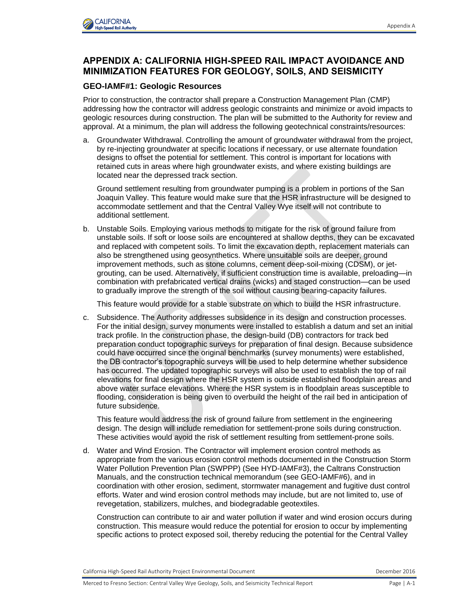

# **APPENDIX A: CALIFORNIA HIGH-SPEED RAIL IMPACT AVOIDANCE AND MINIMIZATION FEATURES FOR GEOLOGY, SOILS, AND SEISMICITY**

#### **GEO-IAMF#1: Geologic Resources**

Prior to construction, the contractor shall prepare a Construction Management Plan (CMP) addressing how the contractor will address geologic constraints and minimize or avoid impacts to geologic resources during construction. The plan will be submitted to the Authority for review and approval. At a minimum, the plan will address the following geotechnical constraints/resources:

a. Groundwater Withdrawal. Controlling the amount of groundwater withdrawal from the project, by re-injecting groundwater at specific locations if necessary, or use alternate foundation designs to offset the potential for settlement. This control is important for locations with retained cuts in areas where high groundwater exists, and where existing buildings are located near the depressed track section.

Ground settlement resulting from groundwater pumping is a problem in portions of the San Joaquin Valley. This feature would make sure that the HSR infrastructure will be designed to accommodate settlement and that the Central Valley Wye itself will not contribute to additional settlement.

b. Unstable Soils. Employing various methods to mitigate for the risk of ground failure from unstable soils. If soft or loose soils are encountered at shallow depths, they can be excavated and replaced with competent soils. To limit the excavation depth, replacement materials can also be strengthened using geosynthetics. Where unsuitable soils are deeper, ground improvement methods, such as stone columns, cement deep-soil-mixing (CDSM), or jetgrouting, can be used. Alternatively, if sufficient construction time is available, preloading—in combination with prefabricated vertical drains (wicks) and staged construction—can be used to gradually improve the strength of the soil without causing bearing-capacity failures.

This feature would provide for a stable substrate on which to build the HSR infrastructure.

c. Subsidence. The Authority addresses subsidence in its design and construction processes. For the initial design, survey monuments were installed to establish a datum and set an initial track profile. In the construction phase, the design-build (DB) contractors for track bed preparation conduct topographic surveys for preparation of final design. Because subsidence could have occurred since the original benchmarks (survey monuments) were established, the DB contractor's topographic surveys will be used to help determine whether subsidence has occurred. The updated topographic surveys will also be used to establish the top of rail elevations for final design where the HSR system is outside established floodplain areas and above water surface elevations. Where the HSR system is in floodplain areas susceptible to flooding, consideration is being given to overbuild the height of the rail bed in anticipation of future subsidence.

This feature would address the risk of ground failure from settlement in the engineering design. The design will include remediation for settlement-prone soils during construction. These activities would avoid the risk of settlement resulting from settlement-prone soils.

d. Water and Wind Erosion. The Contractor will implement erosion control methods as appropriate from the various erosion control methods documented in the Construction Storm Water Pollution Prevention Plan (SWPPP) (See HYD-IAMF#3), the Caltrans Construction Manuals, and the construction technical memorandum (see GEO-IAMF#6), and in coordination with other erosion, sediment, stormwater management and fugitive dust control efforts. Water and wind erosion control methods may include, but are not limited to, use of revegetation, stabilizers, mulches, and biodegradable geotextiles.

Construction can contribute to air and water pollution if water and wind erosion occurs during construction. This measure would reduce the potential for erosion to occur by implementing specific actions to protect exposed soil, thereby reducing the potential for the Central Valley

California High-Speed Rail Authority Project Environmental Document **December 2016** December 2016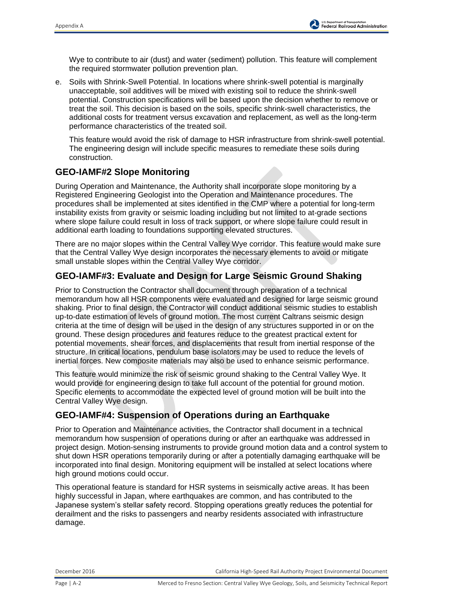Wye to contribute to air (dust) and water (sediment) pollution. This feature will complement the required stormwater pollution prevention plan.

e. Soils with Shrink-Swell Potential. In locations where shrink-swell potential is marginally unacceptable, soil additives will be mixed with existing soil to reduce the shrink-swell potential. Construction specifications will be based upon the decision whether to remove or treat the soil. This decision is based on the soils, specific shrink-swell characteristics, the additional costs for treatment versus excavation and replacement, as well as the long-term performance characteristics of the treated soil.

This feature would avoid the risk of damage to HSR infrastructure from shrink-swell potential. The engineering design will include specific measures to remediate these soils during construction.

# **GEO-IAMF#2 Slope Monitoring**

During Operation and Maintenance, the Authority shall incorporate slope monitoring by a Registered Engineering Geologist into the Operation and Maintenance procedures. The procedures shall be implemented at sites identified in the CMP where a potential for long-term instability exists from gravity or seismic loading including but not limited to at-grade sections where slope failure could result in loss of track support, or where slope failure could result in additional earth loading to foundations supporting elevated structures.

There are no major slopes within the Central Valley Wye corridor. This feature would make sure that the Central Valley Wye design incorporates the necessary elements to avoid or mitigate small unstable slopes within the Central Valley Wye corridor.

## **GEO-IAMF#3: Evaluate and Design for Large Seismic Ground Shaking**

Prior to Construction the Contractor shall document through preparation of a technical memorandum how all HSR components were evaluated and designed for large seismic ground shaking. Prior to final design, the Contractor will conduct additional seismic studies to establish up-to-date estimation of levels of ground motion. The most current Caltrans seismic design criteria at the time of design will be used in the design of any structures supported in or on the ground. These design procedures and features reduce to the greatest practical extent for potential movements, shear forces, and displacements that result from inertial response of the structure. In critical locations, pendulum base isolators may be used to reduce the levels of inertial forces. New composite materials may also be used to enhance seismic performance.

This feature would minimize the risk of seismic ground shaking to the Central Valley Wye. It would provide for engineering design to take full account of the potential for ground motion. Specific elements to accommodate the expected level of ground motion will be built into the Central Valley Wye design.

# **GEO-IAMF#4: Suspension of Operations during an Earthquake**

Prior to Operation and Maintenance activities, the Contractor shall document in a technical memorandum how suspension of operations during or after an earthquake was addressed in project design. Motion-sensing instruments to provide ground motion data and a control system to shut down HSR operations temporarily during or after a potentially damaging earthquake will be incorporated into final design. Monitoring equipment will be installed at select locations where high ground motions could occur.

This operational feature is standard for HSR systems in seismically active areas. It has been highly successful in Japan, where earthquakes are common, and has contributed to the Japanese system's stellar safety record. Stopping operations greatly reduces the potential for derailment and the risks to passengers and nearby residents associated with infrastructure damage.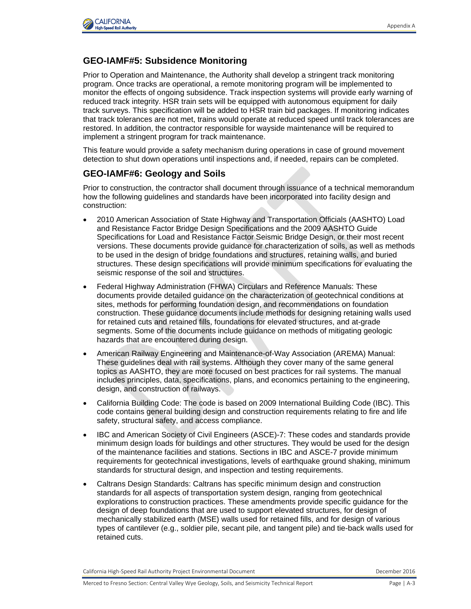



# **GEO-IAMF#5: Subsidence Monitoring**

Prior to Operation and Maintenance, the Authority shall develop a stringent track monitoring program. Once tracks are operational, a remote monitoring program will be implemented to monitor the effects of ongoing subsidence. Track inspection systems will provide early warning of reduced track integrity. HSR train sets will be equipped with autonomous equipment for daily track surveys. This specification will be added to HSR train bid packages. If monitoring indicates that track tolerances are not met, trains would operate at reduced speed until track tolerances are restored. In addition, the contractor responsible for wayside maintenance will be required to implement a stringent program for track maintenance.

This feature would provide a safety mechanism during operations in case of ground movement detection to shut down operations until inspections and, if needed, repairs can be completed.

## **GEO-IAMF#6: Geology and Soils**

Prior to construction, the contractor shall document through issuance of a technical memorandum how the following guidelines and standards have been incorporated into facility design and construction:

- 2010 American Association of State Highway and Transportation Officials (AASHTO) Load and Resistance Factor Bridge Design Specifications and the 2009 AASHTO Guide Specifications for Load and Resistance Factor Seismic Bridge Design, or their most recent versions. These documents provide guidance for characterization of soils, as well as methods to be used in the design of bridge foundations and structures, retaining walls, and buried structures. These design specifications will provide minimum specifications for evaluating the seismic response of the soil and structures.
- Federal Highway Administration (FHWA) Circulars and Reference Manuals: These documents provide detailed guidance on the characterization of geotechnical conditions at sites, methods for performing foundation design, and recommendations on foundation construction. These guidance documents include methods for designing retaining walls used for retained cuts and retained fills, foundations for elevated structures, and at-grade segments. Some of the documents include guidance on methods of mitigating geologic hazards that are encountered during design.
- American Railway Engineering and Maintenance-of-Way Association (AREMA) Manual: These guidelines deal with rail systems. Although they cover many of the same general topics as AASHTO, they are more focused on best practices for rail systems. The manual includes principles, data, specifications, plans, and economics pertaining to the engineering, design, and construction of railways.
- California Building Code: The code is based on 2009 International Building Code (IBC). This code contains general building design and construction requirements relating to fire and life safety, structural safety, and access compliance.
- IBC and American Society of Civil Engineers (ASCE)-7: These codes and standards provide minimum design loads for buildings and other structures. They would be used for the design of the maintenance facilities and stations. Sections in IBC and ASCE-7 provide minimum requirements for geotechnical investigations, levels of earthquake ground shaking, minimum standards for structural design, and inspection and testing requirements.
- Caltrans Design Standards: Caltrans has specific minimum design and construction standards for all aspects of transportation system design, ranging from geotechnical explorations to construction practices. These amendments provide specific guidance for the design of deep foundations that are used to support elevated structures, for design of mechanically stabilized earth (MSE) walls used for retained fills, and for design of various types of cantilever (e.g., soldier pile, secant pile, and tangent pile) and tie-back walls used for retained cuts.

California High-Speed Rail Authority Project Environmental Document **December 2016** December 2016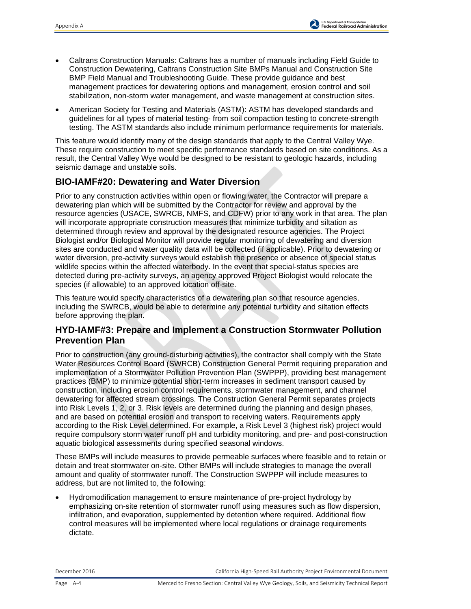- Caltrans Construction Manuals: Caltrans has a number of manuals including Field Guide to Construction Dewatering, Caltrans Construction Site BMPs Manual and Construction Site BMP Field Manual and Troubleshooting Guide. These provide guidance and best management practices for dewatering options and management, erosion control and soil stabilization, non-storm water management, and waste management at construction sites.
- American Society for Testing and Materials (ASTM): ASTM has developed standards and guidelines for all types of material testing- from soil compaction testing to concrete-strength testing. The ASTM standards also include minimum performance requirements for materials.

This feature would identify many of the design standards that apply to the Central Valley Wye. These require construction to meet specific performance standards based on site conditions. As a result, the Central Valley Wye would be designed to be resistant to geologic hazards, including seismic damage and unstable soils.

## **BIO-IAMF#20: Dewatering and Water Diversion**

Prior to any construction activities within open or flowing water, the Contractor will prepare a dewatering plan which will be submitted by the Contractor for review and approval by the resource agencies (USACE, SWRCB, NMFS, and CDFW) prior to any work in that area. The plan will incorporate appropriate construction measures that minimize turbidity and siltation as determined through review and approval by the designated resource agencies. The Project Biologist and/or Biological Monitor will provide regular monitoring of dewatering and diversion sites are conducted and water quality data will be collected (if applicable). Prior to dewatering or water diversion, pre-activity surveys would establish the presence or absence of special status wildlife species within the affected waterbody. In the event that special-status species are detected during pre-activity surveys, an agency approved Project Biologist would relocate the species (if allowable) to an approved location off-site.

This feature would specify characteristics of a dewatering plan so that resource agencies, including the SWRCB, would be able to determine any potential turbidity and siltation effects before approving the plan.

### **HYD-IAMF#3: Prepare and Implement a Construction Stormwater Pollution Prevention Plan**

Prior to construction (any ground-disturbing activities), the contractor shall comply with the State Water Resources Control Board (SWRCB) Construction General Permit requiring preparation and implementation of a Stormwater Pollution Prevention Plan (SWPPP), providing best management practices (BMP) to minimize potential short-term increases in sediment transport caused by construction, including erosion control requirements, stormwater management, and channel dewatering for affected stream crossings. The Construction General Permit separates projects into Risk Levels 1, 2, or 3. Risk levels are determined during the planning and design phases, and are based on potential erosion and transport to receiving waters. Requirements apply according to the Risk Level determined. For example, a Risk Level 3 (highest risk) project would require compulsory storm water runoff pH and turbidity monitoring, and pre- and post-construction aquatic biological assessments during specified seasonal windows.

These BMPs will include measures to provide permeable surfaces where feasible and to retain or detain and treat stormwater on-site. Other BMPs will include strategies to manage the overall amount and quality of stormwater runoff. The Construction SWPPP will include measures to address, but are not limited to, the following:

 Hydromodification management to ensure maintenance of pre-project hydrology by emphasizing on-site retention of stormwater runoff using measures such as flow dispersion, infiltration, and evaporation, supplemented by detention where required. Additional flow control measures will be implemented where local regulations or drainage requirements dictate.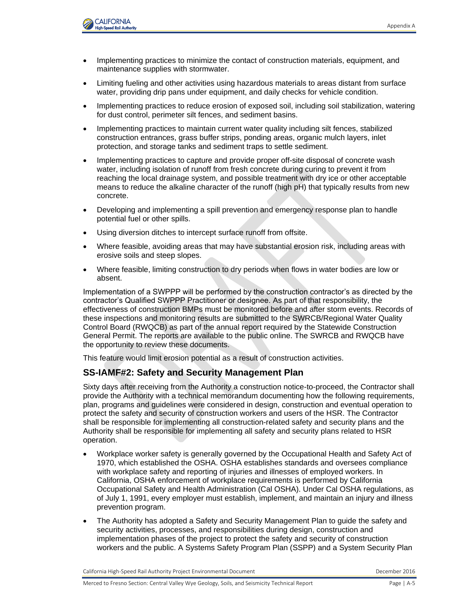

- Implementing practices to minimize the contact of construction materials, equipment, and maintenance supplies with stormwater.
- Limiting fueling and other activities using hazardous materials to areas distant from surface water, providing drip pans under equipment, and daily checks for vehicle condition.
- Implementing practices to reduce erosion of exposed soil, including soil stabilization, watering for dust control, perimeter silt fences, and sediment basins.
- Implementing practices to maintain current water quality including silt fences, stabilized construction entrances, grass buffer strips, ponding areas, organic mulch layers, inlet protection, and storage tanks and sediment traps to settle sediment.
- Implementing practices to capture and provide proper off-site disposal of concrete wash water, including isolation of runoff from fresh concrete during curing to prevent it from reaching the local drainage system, and possible treatment with dry ice or other acceptable means to reduce the alkaline character of the runoff (high pH) that typically results from new concrete.
- Developing and implementing a spill prevention and emergency response plan to handle potential fuel or other spills.
- Using diversion ditches to intercept surface runoff from offsite.
- Where feasible, avoiding areas that may have substantial erosion risk, including areas with erosive soils and steep slopes.
- Where feasible, limiting construction to dry periods when flows in water bodies are low or absent.

Implementation of a SWPPP will be performed by the construction contractor's as directed by the contractor's Qualified SWPPP Practitioner or designee. As part of that responsibility, the effectiveness of construction BMPs must be monitored before and after storm events. Records of these inspections and monitoring results are submitted to the SWRCB/Regional Water Quality Control Board (RWQCB) as part of the annual report required by the Statewide Construction General Permit. The reports are available to the public online. The SWRCB and RWQCB have the opportunity to review these documents.

This feature would limit erosion potential as a result of construction activities.

### **SS-IAMF#2: Safety and Security Management Plan**

Sixty days after receiving from the Authority a construction notice-to-proceed, the Contractor shall provide the Authority with a technical memorandum documenting how the following requirements, plan, programs and guidelines were considered in design, construction and eventual operation to protect the safety and security of construction workers and users of the HSR. The Contractor shall be responsible for implementing all construction-related safety and security plans and the Authority shall be responsible for implementing all safety and security plans related to HSR operation.

- Workplace worker safety is generally governed by the Occupational Health and Safety Act of 1970, which established the OSHA. OSHA establishes standards and oversees compliance with workplace safety and reporting of injuries and illnesses of employed workers. In California, OSHA enforcement of workplace requirements is performed by California Occupational Safety and Health Administration (Cal OSHA). Under Cal OSHA regulations, as of July 1, 1991, every employer must establish, implement, and maintain an injury and illness prevention program.
- The Authority has adopted a Safety and Security Management Plan to guide the safety and security activities, processes, and responsibilities during design, construction and implementation phases of the project to protect the safety and security of construction workers and the public. A Systems Safety Program Plan (SSPP) and a System Security Plan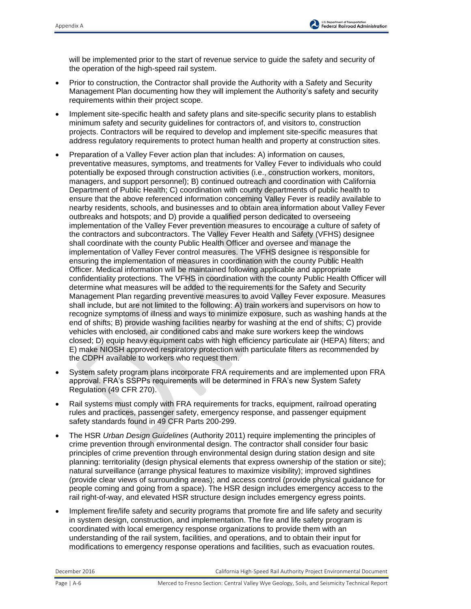will be implemented prior to the start of revenue service to guide the safety and security of the operation of the high-speed rail system.

- Prior to construction, the Contractor shall provide the Authority with a Safety and Security Management Plan documenting how they will implement the Authority's safety and security requirements within their project scope.
- Implement site-specific health and safety plans and site-specific security plans to establish minimum safety and security guidelines for contractors of, and visitors to, construction projects. Contractors will be required to develop and implement site-specific measures that address regulatory requirements to protect human health and property at construction sites.
- Preparation of a Valley Fever action plan that includes: A) information on causes, preventative measures, symptoms, and treatments for Valley Fever to individuals who could potentially be exposed through construction activities (i.e., construction workers, monitors, managers, and support personnel); B) continued outreach and coordination with California Department of Public Health; C) coordination with county departments of public health to ensure that the above referenced information concerning Valley Fever is readily available to nearby residents, schools, and businesses and to obtain area information about Valley Fever outbreaks and hotspots; and D) provide a qualified person dedicated to overseeing implementation of the Valley Fever prevention measures to encourage a culture of safety of the contractors and subcontractors. The Valley Fever Health and Safety (VFHS) designee shall coordinate with the county Public Health Officer and oversee and manage the implementation of Valley Fever control measures. The VFHS designee is responsible for ensuring the implementation of measures in coordination with the county Public Health Officer. Medical information will be maintained following applicable and appropriate confidentiality protections. The VFHS in coordination with the county Public Health Officer will determine what measures will be added to the requirements for the Safety and Security Management Plan regarding preventive measures to avoid Valley Fever exposure. Measures shall include, but are not limited to the following: A) train workers and supervisors on how to recognize symptoms of illness and ways to minimize exposure, such as washing hands at the end of shifts; B) provide washing facilities nearby for washing at the end of shifts; C) provide vehicles with enclosed, air conditioned cabs and make sure workers keep the windows closed; D) equip heavy equipment cabs with high efficiency particulate air (HEPA) filters; and E) make NIOSH approved respiratory protection with particulate filters as recommended by the CDPH available to workers who request them.
- System safety program plans incorporate FRA requirements and are implemented upon FRA approval. FRA's SSPPs requirements will be determined in FRA's new System Safety Regulation (49 CFR 270).
- Rail systems must comply with FRA requirements for tracks, equipment, railroad operating rules and practices, passenger safety, emergency response, and passenger equipment safety standards found in 49 CFR Parts 200-299.
- The HSR *Urban Design Guidelines* (Authority 2011) require implementing the principles of crime prevention through environmental design. The contractor shall consider four basic principles of crime prevention through environmental design during station design and site planning: territoriality (design physical elements that express ownership of the station or site); natural surveillance (arrange physical features to maximize visibility); improved sightlines (provide clear views of surrounding areas); and access control (provide physical guidance for people coming and going from a space). The HSR design includes emergency access to the rail right-of-way, and elevated HSR structure design includes emergency egress points.
- Implement fire/life safety and security programs that promote fire and life safety and security in system design, construction, and implementation. The fire and life safety program is coordinated with local emergency response organizations to provide them with an understanding of the rail system, facilities, and operations, and to obtain their input for modifications to emergency response operations and facilities, such as evacuation routes.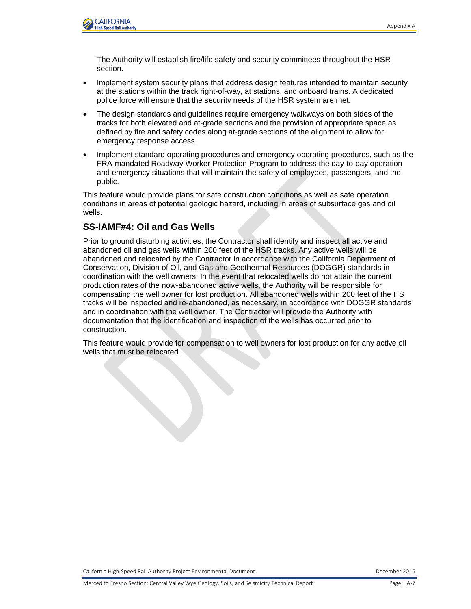

The Authority will establish fire/life safety and security committees throughout the HSR section.

- Implement system security plans that address design features intended to maintain security at the stations within the track right-of-way, at stations, and onboard trains. A dedicated police force will ensure that the security needs of the HSR system are met.
- The design standards and guidelines require emergency walkways on both sides of the tracks for both elevated and at-grade sections and the provision of appropriate space as defined by fire and safety codes along at-grade sections of the alignment to allow for emergency response access.
- Implement standard operating procedures and emergency operating procedures, such as the FRA-mandated Roadway Worker Protection Program to address the day-to-day operation and emergency situations that will maintain the safety of employees, passengers, and the public.

This feature would provide plans for safe construction conditions as well as safe operation conditions in areas of potential geologic hazard, including in areas of subsurface gas and oil wells.

#### **SS-IAMF#4: Oil and Gas Wells**

Prior to ground disturbing activities, the Contractor shall identify and inspect all active and abandoned oil and gas wells within 200 feet of the HSR tracks. Any active wells will be abandoned and relocated by the Contractor in accordance with the California Department of Conservation, Division of Oil, and Gas and Geothermal Resources (DOGGR) standards in coordination with the well owners. In the event that relocated wells do not attain the current production rates of the now-abandoned active wells, the Authority will be responsible for compensating the well owner for lost production. All abandoned wells within 200 feet of the HS tracks will be inspected and re-abandoned, as necessary, in accordance with DOGGR standards and in coordination with the well owner. The Contractor will provide the Authority with documentation that the identification and inspection of the wells has occurred prior to construction.

This feature would provide for compensation to well owners for lost production for any active oil wells that must be relocated.